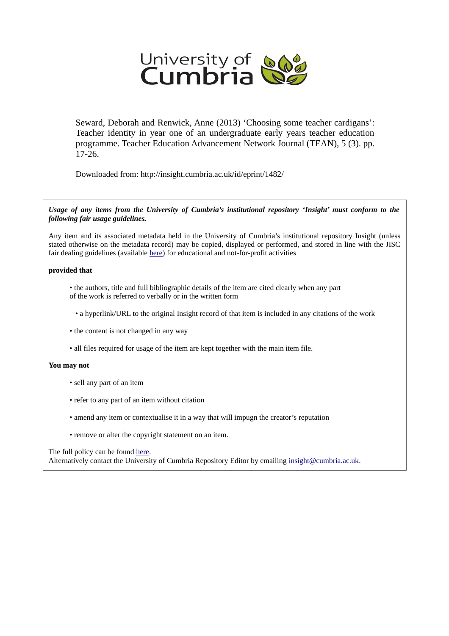

Seward, Deborah and Renwick, Anne (2013) 'Choosing some teacher cardigans': Teacher identity in year one of an undergraduate early years teacher education programme. Teacher Education Advancement Network Journal (TEAN), 5 (3). pp. 17-26.

Downloaded from: http://insight.cumbria.ac.uk/id/eprint/1482/

*Usage of any items from the University of Cumbria's institutional repository 'Insight' must conform to the following fair usage guidelines.*

Any item and its associated metadata held in the University of Cumbria's institutional repository Insight (unless stated otherwise on the metadata record) may be copied, displayed or performed, and stored in line with the JISC fair dealing guidelines (available [here\)](http://www.ukoln.ac.uk/services/elib/papers/pa/fair/) for educational and not-for-profit activities

### **provided that**

• the authors, title and full bibliographic details of the item are cited clearly when any part of the work is referred to verbally or in the written form

• a hyperlink/URL to the original Insight record of that item is included in any citations of the work

- the content is not changed in any way
- all files required for usage of the item are kept together with the main item file.

#### **You may not**

- sell any part of an item
- refer to any part of an item without citation
- amend any item or contextualise it in a way that will impugn the creator's reputation
- remove or alter the copyright statement on an item.

#### The full policy can be found [here.](http://insight.cumbria.ac.uk/legal.html#section5)

Alternatively contact the University of Cumbria Repository Editor by emailing [insight@cumbria.ac.uk.](mailto:insight@cumbria.ac.uk)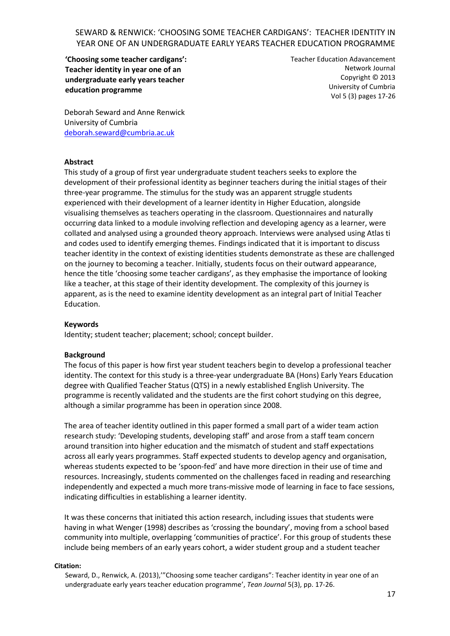**'Choosing some teacher cardigans': Teacher identity in year one of an undergraduate early years teacher education programme**

Teacher Education Adavancement Network Journal Copyright © 2013 University of Cumbria Vol 5 (3) pages 17-26

Deborah Seward and Anne Renwick University of Cumbria [deborah.seward@cumbria.ac.uk](mailto:deborah.seward@cumbria.ac.uk)

### **Abstract**

This study of a group of first year undergraduate student teachers seeks to explore the development of their professional identity as beginner teachers during the initial stages of their three-year programme. The stimulus for the study was an apparent struggle students experienced with their development of a learner identity in Higher Education, alongside visualising themselves as teachers operating in the classroom. Questionnaires and naturally occurring data linked to a module involving reflection and developing agency as a learner, were collated and analysed using a grounded theory approach. Interviews were analysed using Atlas ti and codes used to identify emerging themes. Findings indicated that it is important to discuss teacher identity in the context of existing identities students demonstrate as these are challenged on the journey to becoming a teacher. Initially, students focus on their outward appearance, hence the title 'choosing some teacher cardigans', as they emphasise the importance of looking like a teacher, at this stage of their identity development. The complexity of this journey is apparent, as is the need to examine identity development as an integral part of Initial Teacher Education.

### **Keywords**

Identity; student teacher; placement; school; concept builder.

### **Background**

The focus of this paper is how first year student teachers begin to develop a professional teacher identity. The context for this study is a three-year undergraduate BA (Hons) Early Years Education degree with Qualified Teacher Status (QTS) in a newly established English University. The programme is recently validated and the students are the first cohort studying on this degree, although a similar programme has been in operation since 2008.

The area of teacher identity outlined in this paper formed a small part of a wider team action research study: 'Developing students, developing staff' and arose from a staff team concern around transition into higher education and the mismatch of student and staff expectations across all early years programmes. Staff expected students to develop agency and organisation, whereas students expected to be 'spoon-fed' and have more direction in their use of time and resources. Increasingly, students commented on the challenges faced in reading and researching independently and expected a much more trans-missive mode of learning in face to face sessions, indicating difficulties in establishing a learner identity.

It was these concerns that initiated this action research, including issues that students were having in what Wenger (1998) describes as 'crossing the boundary', moving from a school based community into multiple, overlapping 'communities of practice'. For this group of students these include being members of an early years cohort, a wider student group and a student teacher

#### **Citation:**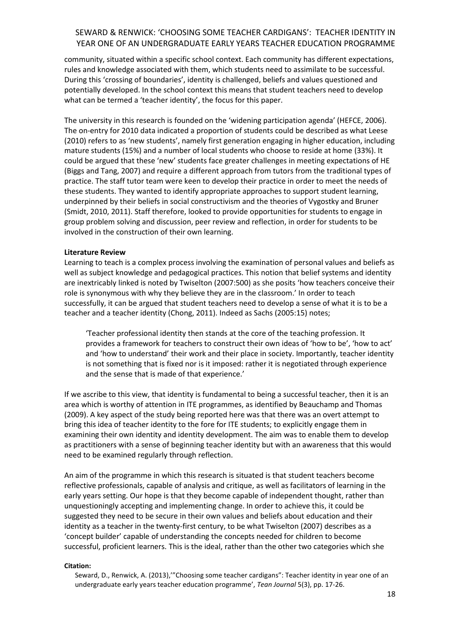community, situated within a specific school context. Each community has different expectations, rules and knowledge associated with them, which students need to assimilate to be successful. During this 'crossing of boundaries', identity is challenged, beliefs and values questioned and potentially developed. In the school context this means that student teachers need to develop what can be termed a 'teacher identity', the focus for this paper.

The university in this research is founded on the 'widening participation agenda' (HEFCE, 2006). The on-entry for 2010 data indicated a proportion of students could be described as what Leese (2010) refers to as 'new students', namely first generation engaging in higher education, including mature students (15%) and a number of local students who choose to reside at home (33%). It could be argued that these 'new' students face greater challenges in meeting expectations of HE (Biggs and Tang, 2007) and require a different approach from tutors from the traditional types of practice. The staff tutor team were keen to develop their practice in order to meet the needs of these students. They wanted to identify appropriate approaches to support student learning, underpinned by their beliefs in social constructivism and the theories of Vygostky and Bruner (Smidt, 2010, 2011). Staff therefore, looked to provide opportunities for students to engage in group problem solving and discussion, peer review and reflection, in order for students to be involved in the construction of their own learning.

### **Literature Review**

Learning to teach is a complex process involving the examination of personal values and beliefs as well as subject knowledge and pedagogical practices. This notion that belief systems and identity are inextricably linked is noted by Twiselton (2007:500) as she posits 'how teachers conceive their role is synonymous with why they believe they are in the classroom.' In order to teach successfully, it can be argued that student teachers need to develop a sense of what it is to be a teacher and a teacher identity (Chong, 2011). Indeed as Sachs (2005:15) notes;

'Teacher professional identity then stands at the core of the teaching profession. It provides a framework for teachers to construct their own ideas of 'how to be', 'how to act' and 'how to understand' their work and their place in society. Importantly, teacher identity is not something that is fixed nor is it imposed: rather it is negotiated through experience and the sense that is made of that experience.'

If we ascribe to this view, that identity is fundamental to being a successful teacher, then it is an area which is worthy of attention in ITE programmes, as identified by Beauchamp and Thomas (2009). A key aspect of the study being reported here was that there was an overt attempt to bring this idea of teacher identity to the fore for ITE students; to explicitly engage them in examining their own identity and identity development. The aim was to enable them to develop as practitioners with a sense of beginning teacher identity but with an awareness that this would need to be examined regularly through reflection.

An aim of the programme in which this research is situated is that student teachers become reflective professionals, capable of analysis and critique, as well as facilitators of learning in the early years setting. Our hope is that they become capable of independent thought, rather than unquestioningly accepting and implementing change. In order to achieve this, it could be suggested they need to be secure in their own values and beliefs about education and their identity as a teacher in the twenty-first century, to be what Twiselton (2007) describes as a 'concept builder' capable of understanding the concepts needed for children to become successful, proficient learners. This is the ideal, rather than the other two categories which she

### **Citation:**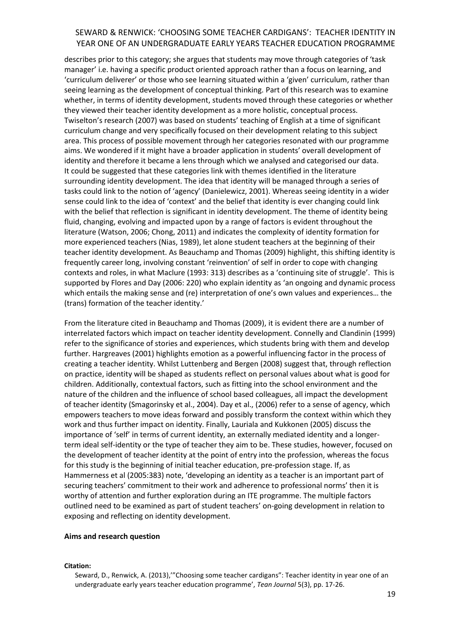describes prior to this category; she argues that students may move through categories of 'task manager' i.e. having a specific product oriented approach rather than a focus on learning, and 'curriculum deliverer' or those who see learning situated within a 'given' curriculum, rather than seeing learning as the development of conceptual thinking. Part of this research was to examine whether, in terms of identity development, students moved through these categories or whether they viewed their teacher identity development as a more holistic, conceptual process. Twiselton's research (2007) was based on students' teaching of English at a time of significant curriculum change and very specifically focused on their development relating to this subject area. This process of possible movement through her categories resonated with our programme aims. We wondered if it might have a broader application in students' overall development of identity and therefore it became a lens through which we analysed and categorised our data. It could be suggested that these categories link with themes identified in the literature surrounding identity development. The idea that identity will be managed through a series of tasks could link to the notion of 'agency' (Danielewicz, 2001). Whereas seeing identity in a wider sense could link to the idea of 'context' and the belief that identity is ever changing could link with the belief that reflection is significant in identity development. The theme of identity being fluid, changing, evolving and impacted upon by a range of factors is evident throughout the literature (Watson, 2006; Chong, 2011) and indicates the complexity of identity formation for more experienced teachers (Nias, 1989), let alone student teachers at the beginning of their teacher identity development. As Beauchamp and Thomas (2009) highlight, this shifting identity is frequently career long, involving constant 'reinvention' of self in order to cope with changing contexts and roles, in what Maclure (1993: 313) describes as a 'continuing site of struggle'. This is supported by Flores and Day (2006: 220) who explain identity as 'an ongoing and dynamic process which entails the making sense and (re) interpretation of one's own values and experiences… the (trans) formation of the teacher identity.'

From the literature cited in Beauchamp and Thomas (2009), it is evident there are a number of interrelated factors which impact on teacher identity development. Connelly and Clandinin (1999) refer to the significance of stories and experiences, which students bring with them and develop further. Hargreaves (2001) highlights emotion as a powerful influencing factor in the process of creating a teacher identity. Whilst Luttenberg and Bergen (2008) suggest that, through reflection on practice, identity will be shaped as students reflect on personal values about what is good for children. Additionally, contextual factors, such as fitting into the school environment and the nature of the children and the influence of school based colleagues, all impact the development of teacher identity (Smagorinsky et al., 2004). Day et al., (2006) refer to a sense of agency, which empowers teachers to move ideas forward and possibly transform the context within which they work and thus further impact on identity. Finally, Lauriala and Kukkonen (2005) discuss the importance of 'self' in terms of current identity, an externally mediated identity and a longerterm ideal self-identity or the type of teacher they aim to be. These studies, however, focused on the development of teacher identity at the point of entry into the profession, whereas the focus for this study is the beginning of initial teacher education, pre-profession stage. If, as Hammerness et al (2005:383) note, 'developing an identity as a teacher is an important part of securing teachers' commitment to their work and adherence to professional norms' then it is worthy of attention and further exploration during an ITE programme. The multiple factors outlined need to be examined as part of student teachers' on-going development in relation to exposing and reflecting on identity development.

#### **Aims and research question**

#### **Citation:**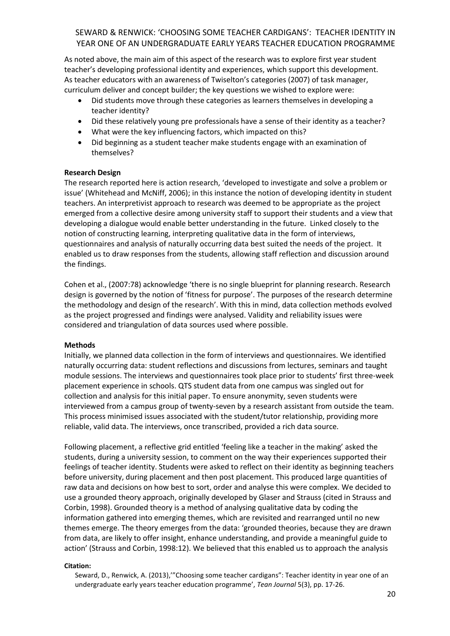As noted above, the main aim of this aspect of the research was to explore first year student teacher's developing professional identity and experiences, which support this development. As teacher educators with an awareness of Twiselton's categories (2007) of task manager, curriculum deliver and concept builder; the key questions we wished to explore were:

- Did students move through these categories as learners themselves in developing a teacher identity?
- Did these relatively young pre professionals have a sense of their identity as a teacher?
- What were the key influencing factors, which impacted on this?
- Did beginning as a student teacher make students engage with an examination of themselves?

### **Research Design**

The research reported here is action research, 'developed to investigate and solve a problem or issue' (Whitehead and McNiff, 2006); in this instance the notion of developing identity in student teachers. An interpretivist approach to research was deemed to be appropriate as the project emerged from a collective desire among university staff to support their students and a view that developing a dialogue would enable better understanding in the future. Linked closely to the notion of constructing learning, interpreting qualitative data in the form of interviews, questionnaires and analysis of naturally occurring data best suited the needs of the project. It enabled us to draw responses from the students, allowing staff reflection and discussion around the findings.

Cohen et al., (2007:78) acknowledge 'there is no single blueprint for planning research. Research design is governed by the notion of 'fitness for purpose'. The purposes of the research determine the methodology and design of the research'. With this in mind, data collection methods evolved as the project progressed and findings were analysed. Validity and reliability issues were considered and triangulation of data sources used where possible.

### **Methods**

Initially, we planned data collection in the form of interviews and questionnaires. We identified naturally occurring data: student reflections and discussions from lectures, seminars and taught module sessions. The interviews and questionnaires took place prior to students' first three-week placement experience in schools. QTS student data from one campus was singled out for collection and analysis for this initial paper. To ensure anonymity, seven students were interviewed from a campus group of twenty-seven by a research assistant from outside the team. This process minimised issues associated with the student/tutor relationship, providing more reliable, valid data. The interviews, once transcribed, provided a rich data source.

Following placement, a reflective grid entitled 'feeling like a teacher in the making' asked the students, during a university session, to comment on the way their experiences supported their feelings of teacher identity. Students were asked to reflect on their identity as beginning teachers before university, during placement and then post placement. This produced large quantities of raw data and decisions on how best to sort, order and analyse this were complex. We decided to use a grounded theory approach, originally developed by Glaser and Strauss (cited in Strauss and Corbin, 1998). Grounded theory is a method of analysing qualitative data by coding the information gathered into emerging themes, which are revisited and rearranged until no new themes emerge. The theory emerges from the data: 'grounded theories, because they are drawn from data, are likely to offer insight, enhance understanding, and provide a meaningful guide to action' (Strauss and Corbin, 1998:12). We believed that this enabled us to approach the analysis

### **Citation:**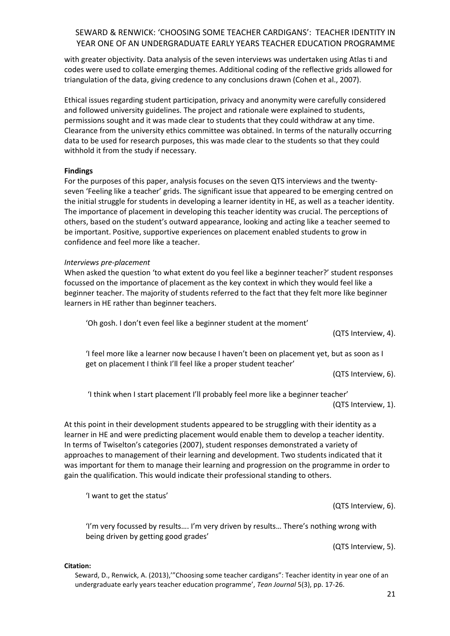with greater objectivity. Data analysis of the seven interviews was undertaken using Atlas ti and codes were used to collate emerging themes. Additional coding of the reflective grids allowed for triangulation of the data, giving credence to any conclusions drawn (Cohen et al., 2007).

Ethical issues regarding student participation, privacy and anonymity were carefully considered and followed university guidelines. The project and rationale were explained to students, permissions sought and it was made clear to students that they could withdraw at any time. Clearance from the university ethics committee was obtained. In terms of the naturally occurring data to be used for research purposes, this was made clear to the students so that they could withhold it from the study if necessary.

## **Findings**

For the purposes of this paper, analysis focuses on the seven QTS interviews and the twentyseven 'Feeling like a teacher' grids. The significant issue that appeared to be emerging centred on the initial struggle for students in developing a learner identity in HE, as well as a teacher identity. The importance of placement in developing this teacher identity was crucial. The perceptions of others, based on the student's outward appearance, looking and acting like a teacher seemed to be important. Positive, supportive experiences on placement enabled students to grow in confidence and feel more like a teacher.

### *Interviews pre-placement*

When asked the question 'to what extent do you feel like a beginner teacher?' student responses focussed on the importance of placement as the key context in which they would feel like a beginner teacher. The majority of students referred to the fact that they felt more like beginner learners in HE rather than beginner teachers.

'Oh gosh. I don't even feel like a beginner student at the moment'

(QTS Interview, 4).

'I feel more like a learner now because I haven't been on placement yet, but as soon as I get on placement I think I'll feel like a proper student teacher'

(QTS Interview, 6).

'I think when I start placement I'll probably feel more like a beginner teacher'

(QTS Interview, 1).

At this point in their development students appeared to be struggling with their identity as a learner in HE and were predicting placement would enable them to develop a teacher identity. In terms of Twiselton's categories (2007), student responses demonstrated a variety of approaches to management of their learning and development. Two students indicated that it was important for them to manage their learning and progression on the programme in order to gain the qualification. This would indicate their professional standing to others.

'I want to get the status'

(QTS Interview, 6).

'I'm very focussed by results…. I'm very driven by results… There's nothing wrong with being driven by getting good grades'

(QTS Interview, 5).

**Citation:**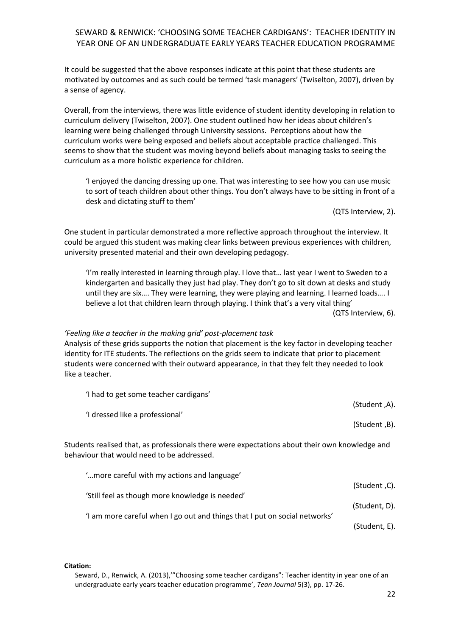It could be suggested that the above responses indicate at this point that these students are motivated by outcomes and as such could be termed 'task managers' (Twiselton, 2007), driven by a sense of agency.

Overall, from the interviews, there was little evidence of student identity developing in relation to curriculum delivery (Twiselton, 2007). One student outlined how her ideas about children's learning were being challenged through University sessions. Perceptions about how the curriculum works were being exposed and beliefs about acceptable practice challenged. This seems to show that the student was moving beyond beliefs about managing tasks to seeing the curriculum as a more holistic experience for children.

'I enjoyed the dancing dressing up one. That was interesting to see how you can use music to sort of teach children about other things. You don't always have to be sitting in front of a desk and dictating stuff to them'

(QTS Interview, 2).

One student in particular demonstrated a more reflective approach throughout the interview. It could be argued this student was making clear links between previous experiences with children, university presented material and their own developing pedagogy.

'I'm really interested in learning through play. I love that… last year I went to Sweden to a kindergarten and basically they just had play. They don't go to sit down at desks and study until they are six…. They were learning, they were playing and learning. I learned loads…. I believe a lot that children learn through playing. I think that's a very vital thing' (QTS Interview, 6).

### *'Feeling like a teacher in the making grid' post-placement task*

Analysis of these grids supports the notion that placement is the key factor in developing teacher identity for ITE students. The reflections on the grids seem to indicate that prior to placement students were concerned with their outward appearance, in that they felt they needed to look like a teacher.

|                                                                                                                                              | 'I had to get some teacher cardigans'           |               |
|----------------------------------------------------------------------------------------------------------------------------------------------|-------------------------------------------------|---------------|
|                                                                                                                                              | 'I dressed like a professional'                 | (A, Student). |
|                                                                                                                                              |                                                 | (Student, B). |
| Students realised that, as professionals there were expectations about their own knowledge and<br>behaviour that would need to be addressed. |                                                 |               |
|                                                                                                                                              | ' more careful with my actions and language'    | (Student ,C). |
|                                                                                                                                              | 'Still feel as though more knowledge is needed' |               |

(Student, D). 'I am more careful when I go out and things that I put on social networks'

(Student, E).

**Citation:**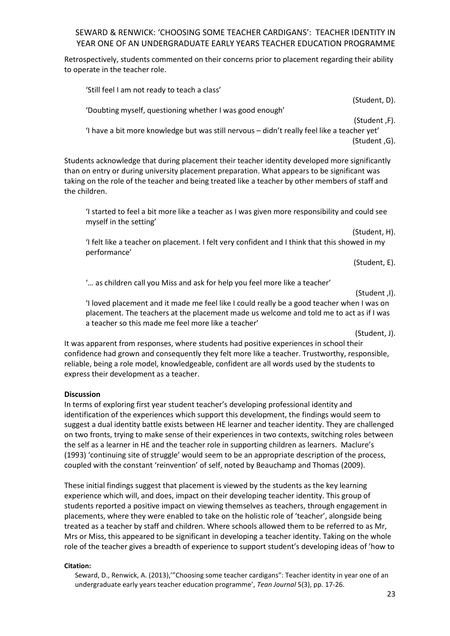Retrospectively, students commented on their concerns prior to placement regarding their ability to operate in the teacher role.

'Still feel I am not ready to teach a class' (Student, D). 'Doubting myself, questioning whether I was good enough' (Student ,F). 'I have a bit more knowledge but was still nervous – didn't really feel like a teacher yet' (Student ,G).

Students acknowledge that during placement their teacher identity developed more significantly than on entry or during university placement preparation. What appears to be significant was taking on the role of the teacher and being treated like a teacher by other members of staff and the children.

'I started to feel a bit more like a teacher as I was given more responsibility and could see myself in the setting'

(Student, H).

'I felt like a teacher on placement. I felt very confident and I think that this showed in my performance'

(Student, E).

'… as children call you Miss and ask for help you feel more like a teacher'

'I loved placement and it made me feel like I could really be a good teacher when I was on placement. The teachers at the placement made us welcome and told me to act as if I was a teacher so this made me feel more like a teacher'

(Student, J).

It was apparent from responses, where students had positive experiences in school their confidence had grown and consequently they felt more like a teacher. Trustworthy, responsible, reliable, being a role model, knowledgeable, confident are all words used by the students to express their development as a teacher.

### **Discussion**

In terms of exploring first year student teacher's developing professional identity and identification of the experiences which support this development, the findings would seem to suggest a dual identity battle exists between HE learner and teacher identity. They are challenged on two fronts, trying to make sense of their experiences in two contexts, switching roles between the self as a learner in HE and the teacher role in supporting children as learners. Maclure's (1993) 'continuing site of struggle' would seem to be an appropriate description of the process, coupled with the constant 'reinvention' of self, noted by Beauchamp and Thomas (2009).

These initial findings suggest that placement is viewed by the students as the key learning experience which will, and does, impact on their developing teacher identity. This group of students reported a positive impact on viewing themselves as teachers, through engagement in placements, where they were enabled to take on the holistic role of 'teacher', alongside being treated as a teacher by staff and children. Where schools allowed them to be referred to as Mr, Mrs or Miss, this appeared to be significant in developing a teacher identity. Taking on the whole role of the teacher gives a breadth of experience to support student's developing ideas of 'how to

### **Citation:**

<sup>(</sup>Student ,I).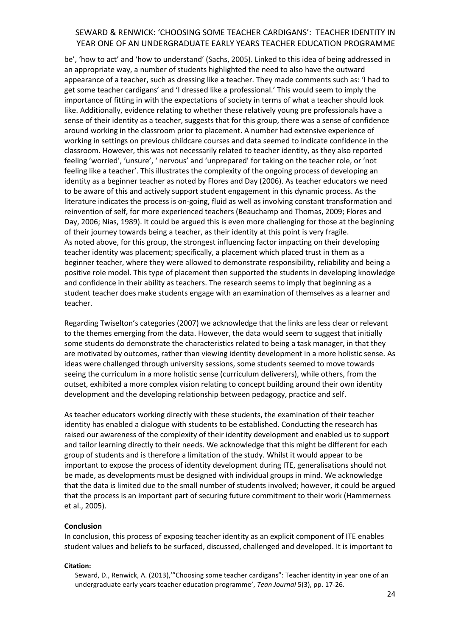be', 'how to act' and 'how to understand' (Sachs, 2005). Linked to this idea of being addressed in an appropriate way, a number of students highlighted the need to also have the outward appearance of a teacher, such as dressing like a teacher. They made comments such as: 'I had to get some teacher cardigans' and 'I dressed like a professional.' This would seem to imply the importance of fitting in with the expectations of society in terms of what a teacher should look like. Additionally, evidence relating to whether these relatively young pre professionals have a sense of their identity as a teacher, suggests that for this group, there was a sense of confidence around working in the classroom prior to placement. A number had extensive experience of working in settings on previous childcare courses and data seemed to indicate confidence in the classroom. However, this was not necessarily related to teacher identity, as they also reported feeling 'worried', 'unsure', ' nervous' and 'unprepared' for taking on the teacher role, or 'not feeling like a teacher'. This illustrates the complexity of the ongoing process of developing an identity as a beginner teacher as noted by Flores and Day (2006). As teacher educators we need to be aware of this and actively support student engagement in this dynamic process. As the literature indicates the process is on-going, fluid as well as involving constant transformation and reinvention of self, for more experienced teachers (Beauchamp and Thomas, 2009; Flores and Day, 2006; Nias, 1989). It could be argued this is even more challenging for those at the beginning of their journey towards being a teacher, as their identity at this point is very fragile. As noted above, for this group, the strongest influencing factor impacting on their developing teacher identity was placement; specifically, a placement which placed trust in them as a beginner teacher, where they were allowed to demonstrate responsibility, reliability and being a positive role model. This type of placement then supported the students in developing knowledge and confidence in their ability as teachers. The research seems to imply that beginning as a student teacher does make students engage with an examination of themselves as a learner and teacher.

Regarding Twiselton's categories (2007) we acknowledge that the links are less clear or relevant to the themes emerging from the data. However, the data would seem to suggest that initially some students do demonstrate the characteristics related to being a task manager, in that they are motivated by outcomes, rather than viewing identity development in a more holistic sense. As ideas were challenged through university sessions, some students seemed to move towards seeing the curriculum in a more holistic sense (curriculum deliverers), while others, from the outset, exhibited a more complex vision relating to concept building around their own identity development and the developing relationship between pedagogy, practice and self.

As teacher educators working directly with these students, the examination of their teacher identity has enabled a dialogue with students to be established. Conducting the research has raised our awareness of the complexity of their identity development and enabled us to support and tailor learning directly to their needs. We acknowledge that this might be different for each group of students and is therefore a limitation of the study. Whilst it would appear to be important to expose the process of identity development during ITE, generalisations should not be made, as developments must be designed with individual groups in mind. We acknowledge that the data is limited due to the small number of students involved; however, it could be argued that the process is an important part of securing future commitment to their work (Hammerness et al., 2005).

#### **Conclusion**

In conclusion, this process of exposing teacher identity as an explicit component of ITE enables student values and beliefs to be surfaced, discussed, challenged and developed. It is important to

### **Citation:**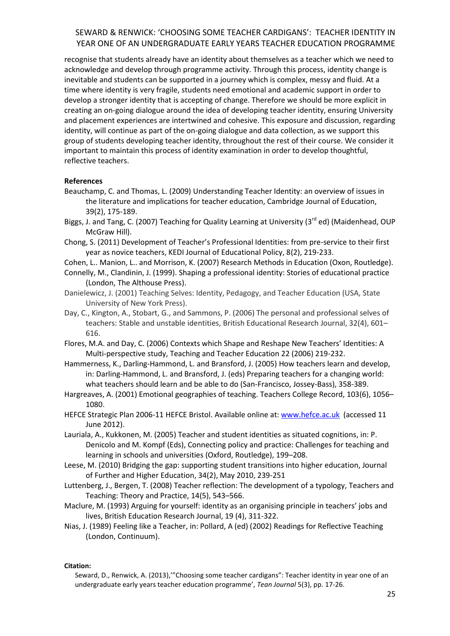recognise that students already have an identity about themselves as a teacher which we need to acknowledge and develop through programme activity. Through this process, identity change is inevitable and students can be supported in a journey which is complex, messy and fluid. At a time where identity is very fragile, students need emotional and academic support in order to develop a stronger identity that is accepting of change. Therefore we should be more explicit in creating an on-going dialogue around the idea of developing teacher identity, ensuring University and placement experiences are intertwined and cohesive. This exposure and discussion, regarding identity, will continue as part of the on-going dialogue and data collection, as we support this group of students developing teacher identity, throughout the rest of their course. We consider it important to maintain this process of identity examination in order to develop thoughtful, reflective teachers.

### **References**

- Beauchamp, C. and Thomas, L. (2009) Understanding Teacher Identity: an overview of issues in the literature and implications for teacher education, Cambridge Journal of Education, 39(2), 175-189.
- Biggs, J. and Tang, C. (2007) Teaching for Quality Learning at University (3<sup>rd</sup> ed) (Maidenhead, OUP McGraw Hill).
- Chong, S. (2011) Development of Teacher's Professional Identities: from pre-service to their first year as novice teachers, KEDI Journal of Educational Policy, 8(2), 219-233.
- Cohen, L.. Manion, L.. and Morrison, K. (2007) Research Methods in Education (Oxon, Routledge).
- Connelly, M., Clandinin, J. (1999). Shaping a professional identity: Stories of educational practice (London, The Althouse Press).
- Danielewicz, J. (2001) Teaching Selves: Identity, Pedagogy, and Teacher Education (USA, State University of New York Press).
- Day, C., Kington, A., Stobart, G., and Sammons, P. (2006) The personal and professional selves of teachers: Stable and unstable identities, British Educational Research Journal, 32(4), 601– 616.
- Flores, M.A. and Day, C. (2006) Contexts which Shape and Reshape New Teachers' Identities: A Multi-perspective study, Teaching and Teacher Education 22 (2006) 219-232.
- Hammerness, K., Darling-Hammond, L. and Bransford, J. (2005) How teachers learn and develop, in: Darling-Hammond, L. and Bransford, J. (eds) Preparing teachers for a changing world: what teachers should learn and be able to do (San-Francisco, Jossey-Bass), 358-389.
- Hargreaves, A. (2001) Emotional geographies of teaching. Teachers College Record, 103(6), 1056– 1080.
- HEFCE Strategic Plan 2006-11 HEFCE Bristol. Available online at: [www.hefce.ac.uk](http://www.hefce.ac.uk/) (accessed 11 June 2012).
- Lauriala, A., Kukkonen, M. (2005) Teacher and student identities as situated cognitions, in: P. Denicolo and M. Kompf (Eds), Connecting policy and practice: Challenges for teaching and learning in schools and universities (Oxford, Routledge), 199–208.
- Leese, M. (2010) Bridging the gap: supporting student transitions into higher education, Journal of Further and Higher Education, 34(2), May 2010, 239-251
- Luttenberg, J., Bergen, T. (2008) Teacher reflection: The development of a typology, Teachers and Teaching: Theory and Practice, 14(5), 543–566.
- Maclure, M. (1993) Arguing for yourself: identity as an organising principle in teachers' jobs and lives, British Education Research Journal, 19 (4), 311-322.
- Nias, J. (1989) Feeling like a Teacher, in: Pollard, A (ed) (2002) Readings for Reflective Teaching (London, Continuum).

### **Citation:**